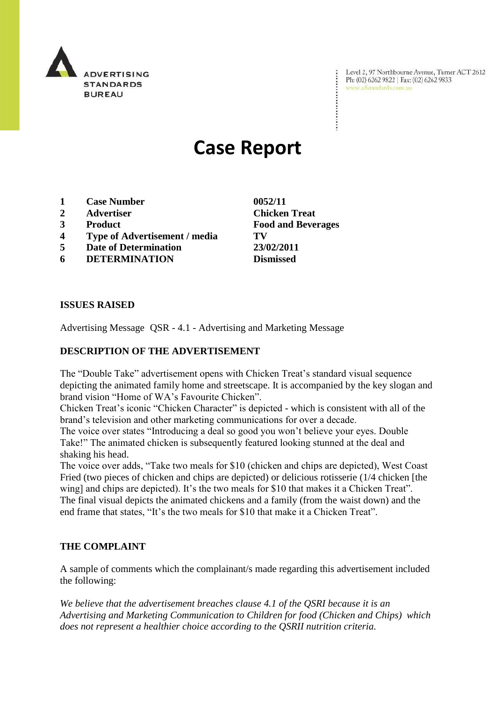

Level 2, 97 Northbourne Avenue, Turner ACT 2612 Ph: (02) 6262 9822 | Fax: (02) 6262 9833 www.adstandards.com.au

# **Case Report**

- **1 Case Number 0052/11**
- **2 Advertiser Chicken Treat**
- 
- **4 Type of Advertisement / media TV**
- **5 Date of Determination 23/02/2011**
- **6 DETERMINATION Dismissed**

**ISSUES RAISED**

Advertising Message QSR - 4.1 - Advertising and Marketing Message

## **DESCRIPTION OF THE ADVERTISEMENT**

The "Double Take" advertisement opens with Chicken Treat's standard visual sequence depicting the animated family home and streetscape. It is accompanied by the key slogan and brand vision "Home of WA"s Favourite Chicken".

Chicken Treat"s iconic "Chicken Character" is depicted - which is consistent with all of the brand"s television and other marketing communications for over a decade.

The voice over states "Introducing a deal so good you won"t believe your eyes. Double Take!" The animated chicken is subsequently featured looking stunned at the deal and shaking his head.

The voice over adds, "Take two meals for \$10 (chicken and chips are depicted), West Coast Fried (two pieces of chicken and chips are depicted) or delicious rotisserie (1/4 chicken [the wing] and chips are depicted). It's the two meals for \$10 that makes it a Chicken Treat". The final visual depicts the animated chickens and a family (from the waist down) and the end frame that states, "It's the two meals for \$10 that make it a Chicken Treat".

### **THE COMPLAINT**

A sample of comments which the complainant/s made regarding this advertisement included the following:

*We believe that the advertisement breaches clause 4.1 of the QSRI because it is an Advertising and Marketing Communication to Children for food (Chicken and Chips) which does not represent a healthier choice according to the QSRII nutrition criteria.*

**3 Product Food and Beverages**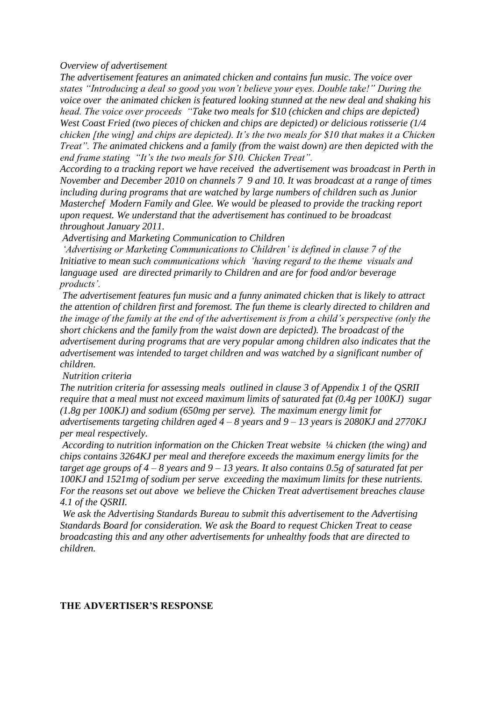*Overview of advertisement*

*The advertisement features an animated chicken and contains fun music. The voice over states "Introducing a deal so good you won"t believe your eyes. Double take!" During the voice over the animated chicken is featured looking stunned at the new deal and shaking his head. The voice over proceeds "Take two meals for \$10 (chicken and chips are depicted) West Coast Fried (two pieces of chicken and chips are depicted) or delicious rotisserie (1/4 chicken [the wing] and chips are depicted). It"s the two meals for \$10 that makes it a Chicken Treat". The animated chickens and a family (from the waist down) are then depicted with the end frame stating "It"s the two meals for \$10. Chicken Treat".* 

*According to a tracking report we have received the advertisement was broadcast in Perth in November and December 2010 on channels 7 9 and 10. It was broadcast at a range of times including during programs that are watched by large numbers of children such as Junior Masterchef Modern Family and Glee. We would be pleased to provide the tracking report upon request. We understand that the advertisement has continued to be broadcast throughout January 2011.*

*Advertising and Marketing Communication to Children*

*"Advertising or Marketing Communications to Children" is defined in clause 7 of the Initiative to mean such communications which "having regard to the theme visuals and language used are directed primarily to Children and are for food and/or beverage products".* 

*The advertisement features fun music and a funny animated chicken that is likely to attract the attention of children first and foremost. The fun theme is clearly directed to children and the image of the family at the end of the advertisement is from a child"s perspective (only the short chickens and the family from the waist down are depicted). The broadcast of the advertisement during programs that are very popular among children also indicates that the advertisement was intended to target children and was watched by a significant number of children.* 

*Nutrition criteria*

*The nutrition criteria for assessing meals outlined in clause 3 of Appendix 1 of the QSRII require that a meal must not exceed maximum limits of saturated fat (0.4g per 100KJ) sugar (1.8g per 100KJ) and sodium (650mg per serve). The maximum energy limit for advertisements targeting children aged 4 – 8 years and 9 – 13 years is 2080KJ and 2770KJ* 

*per meal respectively.* 

*According to nutrition information on the Chicken Treat website ¼ chicken (the wing) and chips contains 3264KJ per meal and therefore exceeds the maximum energy limits for the target age groups of 4 – 8 years and 9 – 13 years. It also contains 0.5g of saturated fat per 100KJ and 1521mg of sodium per serve exceeding the maximum limits for these nutrients. For the reasons set out above we believe the Chicken Treat advertisement breaches clause 4.1 of the QSRII.* 

*We ask the Advertising Standards Bureau to submit this advertisement to the Advertising Standards Board for consideration. We ask the Board to request Chicken Treat to cease broadcasting this and any other advertisements for unhealthy foods that are directed to children.*

#### **THE ADVERTISER'S RESPONSE**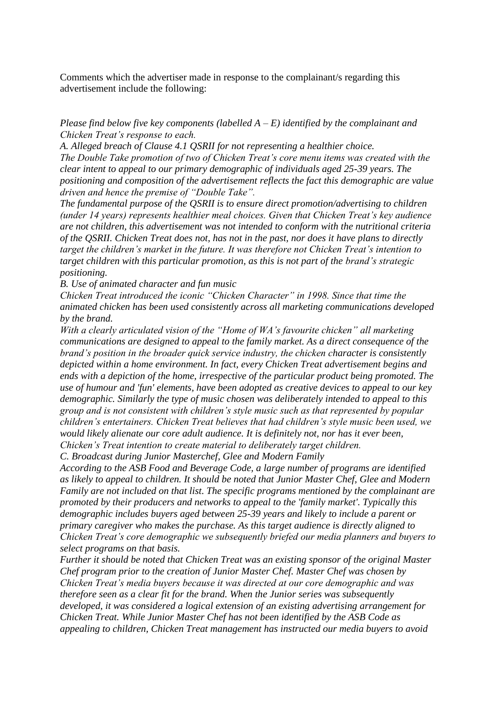Comments which the advertiser made in response to the complainant/s regarding this advertisement include the following:

## *Please find below five key components (labelled A – E) identified by the complainant and Chicken Treat"s response to each.*

*A. Alleged breach of Clause 4.1 QSRII for not representing a healthier choice. The Double Take promotion of two of Chicken Treat"s core menu items was created with the clear intent to appeal to our primary demographic of individuals aged 25-39 years. The positioning and composition of the advertisement reflects the fact this demographic are value driven and hence the premise of "Double Take".*

*The fundamental purpose of the QSRII is to ensure direct promotion/advertising to children (under 14 years) represents healthier meal choices. Given that Chicken Treat"s key audience are not children, this advertisement was not intended to conform with the nutritional criteria of the QSRII. Chicken Treat does not, has not in the past, nor does it have plans to directly target the children"s market in the future. It was therefore not Chicken Treat"s intention to target children with this particular promotion, as this is not part of the brand"s strategic positioning.*

*B. Use of animated character and fun music*

*Chicken Treat introduced the iconic "Chicken Character" in 1998. Since that time the animated chicken has been used consistently across all marketing communications developed by the brand.*

*With a clearly articulated vision of the "Home of WA"s favourite chicken" all marketing communications are designed to appeal to the family market. As a direct consequence of the brand"s position in the broader quick service industry, the chicken character is consistently depicted within a home environment. In fact, every Chicken Treat advertisement begins and ends with a depiction of the home, irrespective of the particular product being promoted. The use of humour and 'fun' elements, have been adopted as creative devices to appeal to our key demographic. Similarly the type of music chosen was deliberately intended to appeal to this group and is not consistent with children"s style music such as that represented by popular children"s entertainers. Chicken Treat believes that had children"s style music been used, we would likely alienate our core adult audience. It is definitely not, nor has it ever been, Chicken"s Treat intention to create material to deliberately target children.*

*C. Broadcast during Junior Masterchef, Glee and Modern Family*

*According to the ASB Food and Beverage Code, a large number of programs are identified as likely to appeal to children. It should be noted that Junior Master Chef, Glee and Modern Family are not included on that list. The specific programs mentioned by the complainant are promoted by their producers and networks to appeal to the 'family market'. Typically this demographic includes buyers aged between 25-39 years and likely to include a parent or primary caregiver who makes the purchase. As this target audience is directly aligned to Chicken Treat"s core demographic we subsequently briefed our media planners and buyers to select programs on that basis.*

*Further it should be noted that Chicken Treat was an existing sponsor of the original Master Chef program prior to the creation of Junior Master Chef. Master Chef was chosen by Chicken Treat"s media buyers because it was directed at our core demographic and was therefore seen as a clear fit for the brand. When the Junior series was subsequently developed, it was considered a logical extension of an existing advertising arrangement for Chicken Treat. While Junior Master Chef has not been identified by the ASB Code as appealing to children, Chicken Treat management has instructed our media buyers to avoid*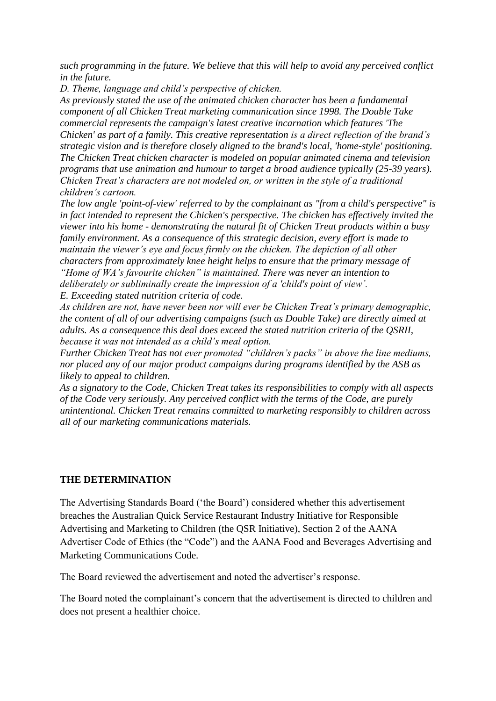*such programming in the future. We believe that this will help to avoid any perceived conflict in the future.*

*D. Theme, language and child"s perspective of chicken.*

*As previously stated the use of the animated chicken character has been a fundamental component of all Chicken Treat marketing communication since 1998. The Double Take commercial represents the campaign's latest creative incarnation which features 'The Chicken' as part of a family. This creative representation is a direct reflection of the brand"s strategic vision and is therefore closely aligned to the brand's local, 'home-style' positioning. The Chicken Treat chicken character is modeled on popular animated cinema and television programs that use animation and humour to target a broad audience typically (25-39 years). Chicken Treat"s characters are not modeled on, or written in the style of a traditional children"s cartoon.*

*The low angle 'point-of-view' referred to by the complainant as "from a child's perspective" is in fact intended to represent the Chicken's perspective. The chicken has effectively invited the viewer into his home - demonstrating the natural fit of Chicken Treat products within a busy family environment. As a consequence of this strategic decision, every effort is made to maintain the viewer"s eye and focus firmly on the chicken. The depiction of all other characters from approximately knee height helps to ensure that the primary message of "Home of WA"s favourite chicken" is maintained. There was never an intention to deliberately or subliminally create the impression of a 'child's point of view".*

*E. Exceeding stated nutrition criteria of code.*

*As children are not, have never been nor will ever be Chicken Treat"s primary demographic, the content of all of our advertising campaigns (such as Double Take) are directly aimed at adults. As a consequence this deal does exceed the stated nutrition criteria of the QSRII, because it was not intended as a child"s meal option.*

*Further Chicken Treat has not ever promoted "children"s packs" in above the line mediums, nor placed any of our major product campaigns during programs identified by the ASB as likely to appeal to children.*

*As a signatory to the Code, Chicken Treat takes its responsibilities to comply with all aspects of the Code very seriously. Any perceived conflict with the terms of the Code, are purely unintentional. Chicken Treat remains committed to marketing responsibly to children across all of our marketing communications materials.*

## **THE DETERMINATION**

The Advertising Standards Board ("the Board") considered whether this advertisement breaches the Australian Quick Service Restaurant Industry Initiative for Responsible Advertising and Marketing to Children (the QSR Initiative), Section 2 of the AANA Advertiser Code of Ethics (the "Code") and the AANA Food and Beverages Advertising and Marketing Communications Code.

The Board reviewed the advertisement and noted the advertiser"s response.

The Board noted the complainant's concern that the advertisement is directed to children and does not present a healthier choice.